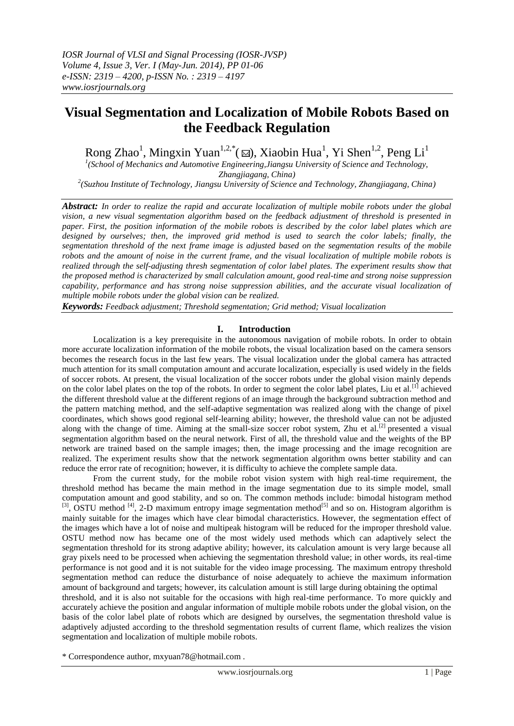# **Visual Segmentation and Localization of Mobile Robots Based on the Feedback Regulation**

Rong Zhao<sup>1</sup>, Mingxin Yuan<sup>1,2,\*</sup>( $\text{M}$ ), Xiaobin Hua<sup>1</sup>, Yi Shen<sup>1,2</sup>, Peng Li<sup>1</sup>

<sup>1</sup>(School of Mechanics and Automotive Engineering, Jiangsu University of Science and Technology,

*Zhangjiagang, China)*

*2 (Suzhou Institute of Technology, Jiangsu University of Science and Technology, Zhangjiagang, China)*

*Abstract: In order to realize the rapid and accurate localization of multiple mobile robots under the global vision, a new visual segmentation algorithm based on the feedback adjustment of threshold is presented in paper. First, the position information of the mobile robots is described by the color label plates which are designed by ourselves; then, the improved grid method is used to search the color labels; finally, the segmentation threshold of the next frame image is adjusted based on the segmentation results of the mobile robots and the amount of noise in the current frame, and the visual localization of multiple mobile robots is realized through the self-adjusting thresh segmentation of color label plates. The experiment results show that the proposed method is characterized by small calculation amount, good real-time and strong noise suppression capability, performance and has strong noise suppression abilities, and the accurate visual localization of multiple mobile robots under the global vision can be realized.*

*Keywords: Feedback adjustment; Threshold segmentation; Grid method; Visual localization*

# **I. Introduction**

Localization is a key prerequisite in the [autonomous](app:ds:autonomous) [navigation](app:ds:navigation) of mobile robots. In order to obtain more accurate localization information of the mobile robots, the visual localization based on the camera sensors becomes the research focus in the last few years. The visual localization under the global camera has attracted much attention for its small computation amount and accurate localization, especially is used widely in the fields of soccer robots. At present, the visual localization of the soccer robots under the global vision mainly depends on the color label plates on the top of the robots. In order to segment the color label plates, Liu et al.<sup>[1]</sup> achieved the different threshold value at the different regions of an image through the background subtraction method and the pattern matching method, and the self-adaptive segmentation was realized along with the change of pixel coordinates, which shows good regional self-learning ability; however, the threshold value can not be adjusted along with the change of time. Aiming at the small-size soccer robot system, Zhu et al.<sup>[2]</sup> presented a visual segmentation algorithm based on the neural network. First of all, the threshold value and the weights of the BP network are trained based on the sample images; then, the image processing and the image recognition are realized. The experiment results show that the network segmentation algorithm owns better stability and can reduce the error rate of recognition; however, it is difficulty to achieve the complete sample data.

From the current study, for the mobile robot vision system with high real-time requirement, the threshold method has became the main method in the image segmentation due to its simple model, small computation amount and good stability, and so on. The common methods include: bimodal histogram method  $^{[3]}$ , OSTU method  $^{[4]}$ , 2-D maximum entropy image segmentation method<sup>[5]</sup> and so on. Histogram algorithm is mainly suitable for the images which have clear bimodal characteristics. However, the segmentation effect of the images which have a lot of noise and multipeak histogram will be reduced for the improper threshold value. OSTU method now has became one of the most widely used methods which can adaptively select the segmentation threshold for its strong adaptive ability; however, its calculation amount is very large because all gray pixels need to be processed when achieving the segmentation threshold value; in other words, its real-time performance is not good and it is not suitable for the video image processing. The maximum entropy threshold segmentation method can reduce the disturbance of noise adequately to achieve the maximum information amount of background and targets; however, its calculation amount is still large during obtaining the optimal threshold, and it is also not suitable for the occasions with high real-time performance. To more quickly and accurately achieve the position and angular information of multiple mobile robots under the global vision, on the

basis of the color label plate of robots which are designed by ourselves, the segmentation threshold value is adaptively adjusted according to the threshold segmentation results of current flame, which realizes the vision segmentation and localization of multiple mobile robots.

\* Correspondence author, mxyuan78@hotmail.com .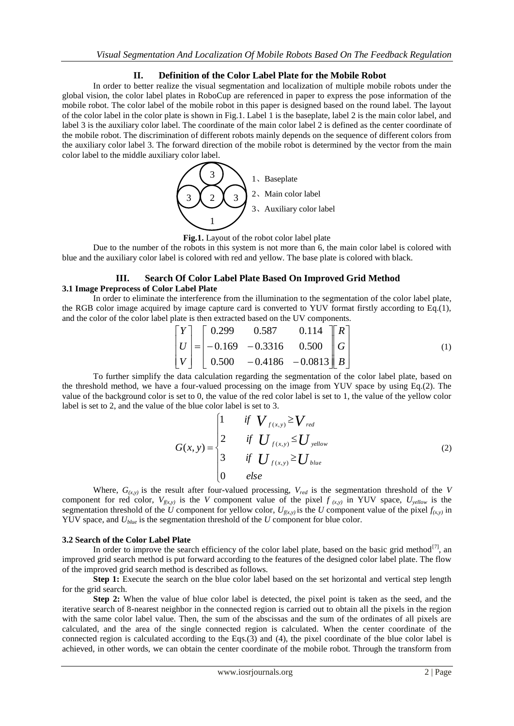# **II. Definition of the Color Label Plate for the Mobile Robot**

In order to better realize the visual segmentation and localization of multiple mobile robots under the global vision, the color label plates in RoboCup are referenced in paper to express the pose information of the mobile robot. The color label of the mobile robot in this paper is designed based on the round label. The layout of the color label in the color plate is shown in Fig.1. Label 1 is the baseplate, label 2 is the main color label, and label 3 is the auxiliary color label. The coordinate of the main color label 2 is defined as the center coordinate of the mobile robot. The discrimination of different robots mainly depends on the sequence of different colors from the auxiliary color label 3. The forward direction of the mobile robot is determined by the vector from the main color label to the middle auxiliary color label.



**Fig.1.** Layout of the robot color label plate

Due to the number of the robots in this system is not more than 6, the main color label is colored with blue and the auxiliary color label is colored with red and yellow. The base plate is colored with black.

# **III. Search Of Color Label Plate Based On Improved Grid Method 3.1 Image Preprocess of Color Label Plate**

In order to eliminate the interference from the illumination to the segmentation of the color label plate, the RGB color image acquired by image capture card is converted to YUV format firstly according to Eq.(1), and the color of the color label plate is then extracted based on the UV components.

$$
\begin{bmatrix} Y \\ U \\ V \end{bmatrix} = \begin{bmatrix} 0.299 & 0.587 & 0.114 \\ -0.169 & -0.3316 & 0.500 \\ 0.500 & -0.4186 & -0.0813 \end{bmatrix} \begin{bmatrix} R \\ G \\ B \end{bmatrix}
$$
 (1)

To further simplify the data calculation regarding the segmentation of the color label plate, based on the threshold method, we have a four-valued processing on the image from YUV space by using Eq.(2). The value of the background color is set to 0, the value of the red color label is set to 1, the value of the yellow color label is set to 2, and the value of the blue color label is set to 3.

$$
G(x, y) = \begin{cases} 1 & \text{if } V_{f(x, y)} \geq V_{\text{red}} \\ 2 & \text{if } U_{f(x, y)} \leq U_{\text{yellow}} \\ 3 & \text{if } U_{f(x, y)} \geq U_{\text{blue}} \\ 0 & \text{else} \end{cases}
$$
(2)

Where,  $G_{(x,y)}$  is the result after four-valued processing,  $V_{red}$  is the segmentation threshold of the *V* component for red color,  $V_{f(x,y)}$  is the *V* component value of the pixel  $f_{(x,y)}$  in YUV space,  $U_{yellow}$  is the segmentation threshold of the *U* component for yellow color,  $U_{f(x,y)}$  is the *U* component value of the pixel  $f_{(x,y)}$  in YUV space, and *Ublue* is the segmentation threshold of the *U* component for blue color.

#### **3.2 Search of the Color Label Plate**

In order to improve the search efficiency of the color label plate, based on the basic grid method<sup>[7]</sup>, an improved grid search method is put forward according to the features of the designed color label plate. The flow of the improved grid search method is described as follows.

Step 1: Execute the search on the blue color label based on the set horizontal and vertical step length for the grid search.

**Step 2:** When the value of blue color label is detected, the pixel point is taken as the seed, and the iterative search of 8-nearest neighbor in the connected region is carried out to obtain all the pixels in the region with the same color label value. Then, the sum of the abscissas and the sum of the ordinates of all pixels are calculated, and the area of the single connected region is calculated. When the center coordinate of the connected region is calculated according to the Eqs.(3) and (4), the pixel coordinate of the blue color label is achieved, in other words, we can obtain the center coordinate of the mobile robot. Through the transform from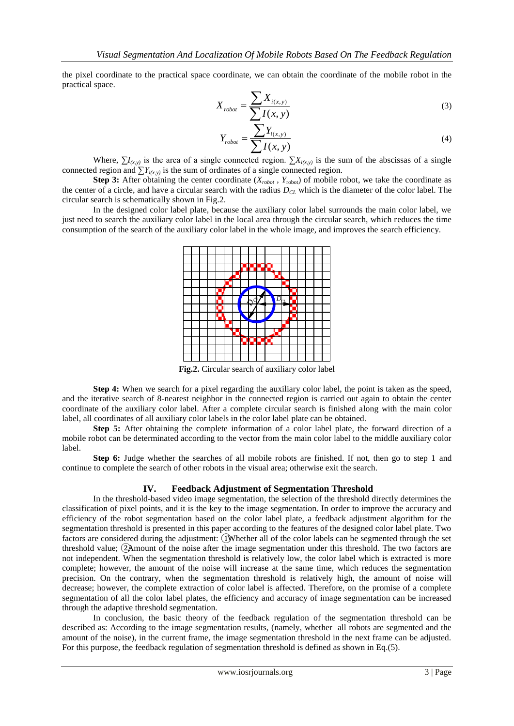the pixel coordinate to the practical space coordinate, we can obtain the coordinate of the mobile robot in the practical space.

$$
X_{robot} = \frac{\sum X_{i(x,y)}}{\sum I(x,y)}
$$
\n(3)

$$
Y_{robot} = \frac{\sum Y_{i(x,y)}}{\sum I(x,y)}
$$
\n<sup>(4)</sup>

Where,  $\sum I_{(x,y)}$  is the area of a single connected region.  $\sum X_{i(x,y)}$  is the sum of the abscissas of a single connected region and  $\sum Y_{i(x,y)}$  is the sum of ordinates of a single connected region.

**Step 3:** After obtaining the center coordinate  $(X_{robot}$ ,  $Y_{robot}$  of mobile robot, we take the coordinate as the center of a circle, and have a circular search with the radius *DCL* which is the diameter of the color label. The circular search is schematically shown in Fig.2.

In the designed color label plate, because the auxiliary color label surrounds the main color label, we just need to search the auxiliary color label in the local area through the circular search, which reduces the time consumption of the search of the auxiliary color label in the whole image, and improves the search efficiency.



**Fig.2.** Circular search of auxiliary color label

**Step 4:** When we search for a pixel regarding the auxiliary color label, the point is taken as the speed, and the iterative search of 8-nearest neighbor in the connected region is carried out again to obtain the center coordinate of the auxiliary color label. After a complete circular search is finished along with the main color label, all coordinates of all auxiliary color labels in the color label plate can be obtained.

**Step 5:** After obtaining the complete information of a color label plate, the forward direction of a mobile robot can be determinated according to the vector from the main color label to the middle auxiliary color label.

**Step 6:** Judge whether the searches of all mobile robots are finished. If not, then go to step 1 and continue to complete the search of other robots in the visual area; otherwise exit the search.

#### **IV. Feedback Adjustment of Segmentation Threshold**

In the threshold-based video image segmentation, the selection of the threshold directly determines the classification of pixel points, and it is the key to the image segmentation. In order to improve the accuracy and efficiency of the robot segmentation based on the color label plate, a feedback adjustment algorithm for the segmentation threshold is presented in this paper according to the features of the designed color label plate. Two factors are considered during the adjustment: ①Whether all of the color labels can be segmented through the set threshold value; ②Amount of the noise after the image segmentation under this threshold. The two factors are not independent. When the segmentation threshold is relatively low, the color label which is extracted is more complete; however, the amount of the noise will increase at the same time, which reduces the segmentation precision. On the contrary, when the segmentation threshold is relatively high, the amount of noise will decrease; however, the complete extraction of color label is affected. Therefore, on the promise of a complete segmentation of all the color label plates, the efficiency and accuracy of image segmentation can be increased through the adaptive threshold segmentation.

In conclusion, the basic theory of the feedback regulation of the segmentation threshold can be described as: According to the image segmentation results, (namely, whether all robots are segmented and the amount of the noise), in the current frame, the image segmentation threshold in the next frame can be adjusted. For this purpose, the feedback regulation of segmentation threshold is defined as shown in Eq.(5).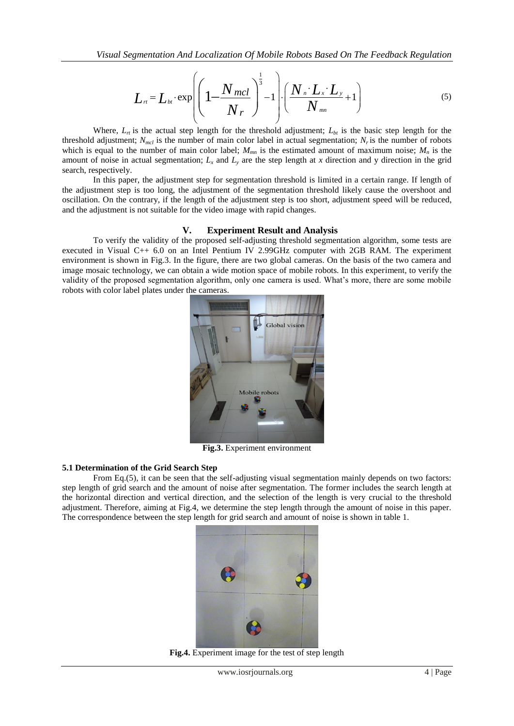Visual Segmentation And Localization Of Mobile Robots Based On The Feedback Regulation  
\n
$$
L_{rt} = L_{bt} \cdot \exp \left( \left( 1 - \frac{N_{mcl}}{N_r} \right)^{\frac{1}{3}} - 1 \right) \cdot \left( \frac{N_{n} \cdot L_x \cdot L_y}{N_{mn}} + 1 \right)
$$
\n(5)

Where,  $L_{\tau}$  is the actual step length for the threshold adjustment;  $L_{bt}$  is the basic step length for the threshold adjustment;  $N_{mcl}$  is the number of main color label in actual segmentation;  $N_r$  is the number of robots which is equal to the number of main color label;  $M_{mn}$  is the estimated amount of maximum noise;  $M_n$  is the amount of noise in actual segmentation;  $L_x$  and  $L_y$  are the step length at x direction and y direction in the grid search, respectively.

In this paper, the adjustment step for segmentation threshold is limited in a certain range. If length of the adjustment step is too long, the adjustment of the segmentation threshold likely cause the overshoot and oscillation. On the contrary, if the length of the adjustment step is too short, adjustment speed will be reduced, and the adjustment is not suitable for the video image with rapid changes.

#### **V. Experiment Result and Analysis**

To verify the validity of the proposed self-adjusting threshold segmentation algorithm, some tests are executed in Visual C++ 6.0 on an Intel Pentium IV 2.99GHz computer with 2GB RAM. The experiment environment is shown in Fig.3. In the figure, there are two global cameras. On the basis of the two camera and image mosaic technology, we can obtain a wide motion space of mobile robots. In this experiment, to verify the validity of the proposed segmentation algorithm, only one camera is used. What's more, there are some mobile robots with color label plates under the cameras.



**Fig.3.** Experiment environment

#### **5.1 Determination of the Grid Search Step**

From Eq.(5), it can be seen that the self-adjusting visual segmentation mainly depends on two factors: step length of grid search and the amount of noise after segmentation. The former includes the search length at the horizontal direction and vertical direction, and the selection of the length is very crucial to the threshold adjustment. Therefore, aiming at Fig.4, we determine the step length through the amount of noise in this paper. The correspondence between the step length for grid search and amount of noise is shown in table 1.



**Fig.4.** Experiment image for the test of step length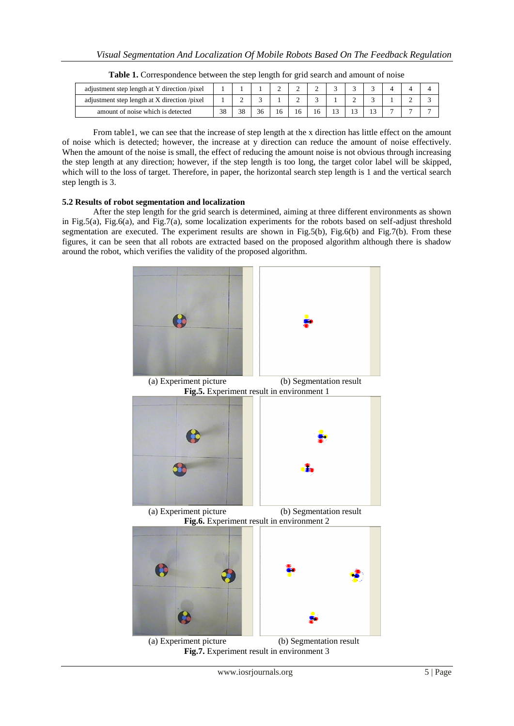| adjustment step length at Y direction /pixel |  |    |    | ∼ |  |  |  |  |
|----------------------------------------------|--|----|----|---|--|--|--|--|
| adjustment step length at X direction /pixel |  | ∸  |    |   |  |  |  |  |
| amount of noise which is detected            |  | 38 | 36 |   |  |  |  |  |

From table1, we can see that the increase of step length at the x direction has little effect on the amount of noise which is detected; however, the increase at y direction can reduce the amount of noise effectively. When the amount of the noise is small, the effect of reducing the amount noise is not obvious through increasing the step length at any direction; however, if the step length is too long, the target color label will be skipped, which will to the loss of target. Therefore, in paper, the horizontal search step length is 1 and the vertical search step length is 3.

# **5.2 Results of robot segmentation and localization**

After the step length for the grid search is determined, aiming at three different environments as shown in Fig.5(a), Fig.6(a), and Fig.7(a), some localization experiments for the robots based on self-adjust threshold segmentation are executed. The experiment results are shown in Fig.5(b), Fig.6(b) and Fig.7(b). From these figures, it can be seen that all robots are extracted based on the proposed algorithm although there is shadow around the robot, which verifies the validity of the proposed algorithm.